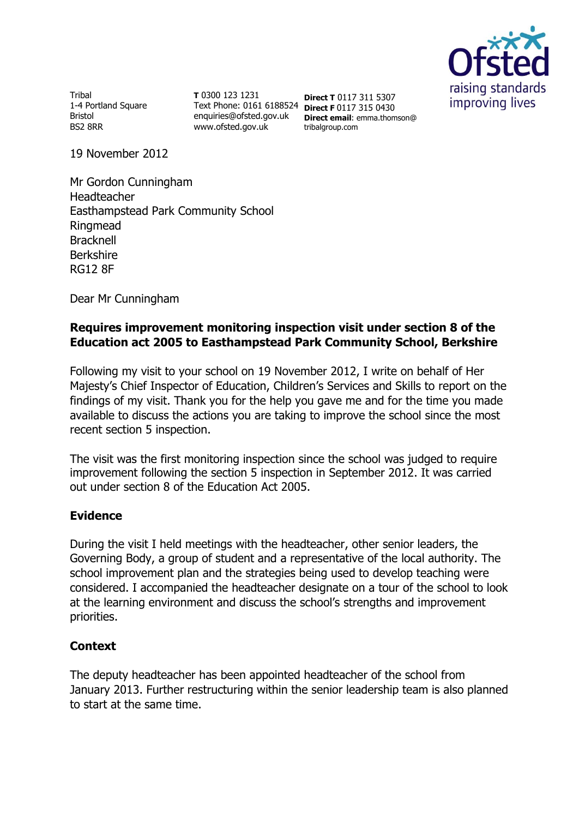

**Tribal** 1-4 Portland Square Bristol BS2 8RR

**T** 0300 123 1231 Text Phone: 0161 6188524 **Direct F** 0117 315 0430 enquiries@ofsted.gov.uk www.ofsted.gov.uk

**Direct T** 0117 311 5307 **Direct email**: emma.thomson@ tribalgroup.com

19 November 2012

Mr Gordon Cunningham Headteacher Easthampstead Park Community School Ringmead Bracknell Berkshire RG12 8F

Dear Mr Cunningham

# **Requires improvement monitoring inspection visit under section 8 of the Education act 2005 to Easthampstead Park Community School, Berkshire**

Following my visit to your school on 19 November 2012, I write on behalf of Her Majesty's Chief Inspector of Education, Children's Services and Skills to report on the findings of my visit. Thank you for the help you gave me and for the time you made available to discuss the actions you are taking to improve the school since the most recent section 5 inspection.

The visit was the first monitoring inspection since the school was judged to require improvement following the section 5 inspection in September 2012. It was carried out under section 8 of the Education Act 2005.

## **Evidence**

During the visit I held meetings with the headteacher, other senior leaders, the Governing Body, a group of student and a representative of the local authority. The school improvement plan and the strategies being used to develop teaching were considered. I accompanied the headteacher designate on a tour of the school to look at the learning environment and discuss the school's strengths and improvement priorities.

# **Context**

The deputy headteacher has been appointed headteacher of the school from January 2013. Further restructuring within the senior leadership team is also planned to start at the same time.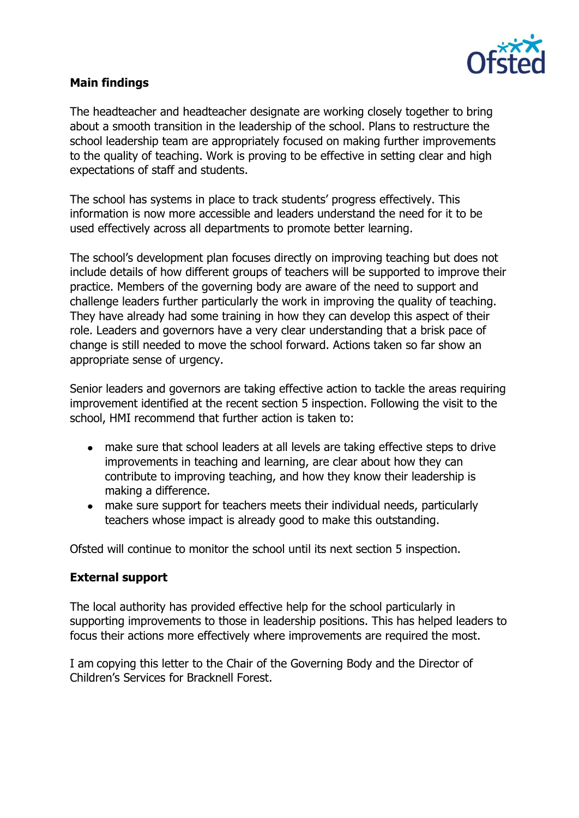

# **Main findings**

The headteacher and headteacher designate are working closely together to bring about a smooth transition in the leadership of the school. Plans to restructure the school leadership team are appropriately focused on making further improvements to the quality of teaching. Work is proving to be effective in setting clear and high expectations of staff and students.

The school has systems in place to track students' progress effectively. This information is now more accessible and leaders understand the need for it to be used effectively across all departments to promote better learning.

The school's development plan focuses directly on improving teaching but does not include details of how different groups of teachers will be supported to improve their practice. Members of the governing body are aware of the need to support and challenge leaders further particularly the work in improving the quality of teaching. They have already had some training in how they can develop this aspect of their role. Leaders and governors have a very clear understanding that a brisk pace of change is still needed to move the school forward. Actions taken so far show an appropriate sense of urgency.

Senior leaders and governors are taking effective action to tackle the areas requiring improvement identified at the recent section 5 inspection. Following the visit to the school, HMI recommend that further action is taken to:

- make sure that school leaders at all levels are taking effective steps to drive improvements in teaching and learning, are clear about how they can contribute to improving teaching, and how they know their leadership is making a difference.
- make sure support for teachers meets their individual needs, particularly teachers whose impact is already good to make this outstanding.

Ofsted will continue to monitor the school until its next section 5 inspection.

## **External support**

The local authority has provided effective help for the school particularly in supporting improvements to those in leadership positions. This has helped leaders to focus their actions more effectively where improvements are required the most.

I am copying this letter to the Chair of the Governing Body and the Director of Children's Services for Bracknell Forest.